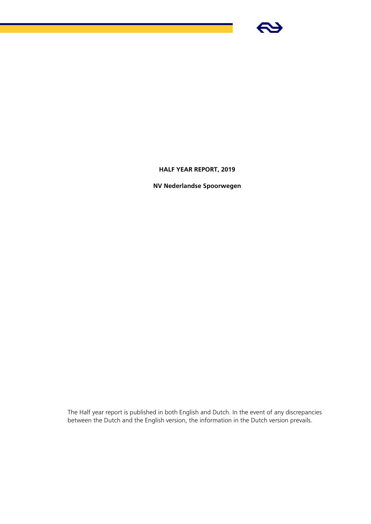

# **HALF YEAR REPORT, 2019**

**NV Nederlandse Spoorwegen**

The Half year report is published in both English and Dutch. In the event of any discrepancies between the Dutch and the English version, the information in the Dutch version prevails.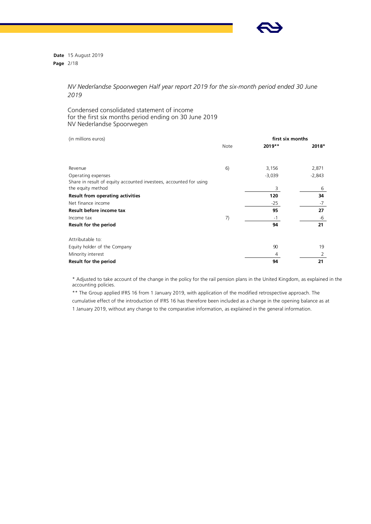

**Date** 15 August 2019 **Page** 2/18

> *NV Nederlandse Spoorwegen Half year report 2019 for the six-month period ended 30 June 2019*

# Condensed consolidated statement of income for the first six months period ending on 30 June 2019 NV Nederlandse Spoorwegen

| (in millions euros)                                                |      | first six months |          |
|--------------------------------------------------------------------|------|------------------|----------|
|                                                                    | Note | 2019**           | 2018*    |
|                                                                    |      |                  |          |
| Revenue                                                            | 6)   | 3,156            | 2,871    |
| Operating expenses                                                 |      | $-3,039$         | $-2,843$ |
| Share in result of equity accounted investees, accounted for using |      |                  |          |
| the equity method                                                  |      | 3                | 6        |
| Result from operating activities                                   |      | 120              | 34       |
| Net finance income                                                 |      | $-25$            | $-7$     |
| Result before income tax                                           |      | 95               | 27       |
| Income tax                                                         | 7)   | $-1$             | -6       |
| Result for the period                                              |      | 94               | 21       |
| Attributable to:                                                   |      |                  |          |
| Equity holder of the Company                                       |      | 90               | 19       |
| Minority interest                                                  |      | 4                | 2        |
| Result for the period                                              |      | 94               | 21       |

\* Adjusted to take account of the change in the policy for the rail pension plans in the United Kingdom, as explained in the accounting policies.

\*\* The Group applied IFRS 16 from 1 January 2019, with application of the modified retrospective approach. The cumulative effect of the introduction of IFRS 16 has therefore been included as a change in the opening balance as at 1 January 2019, without any change to the comparative information, as explained in the general information.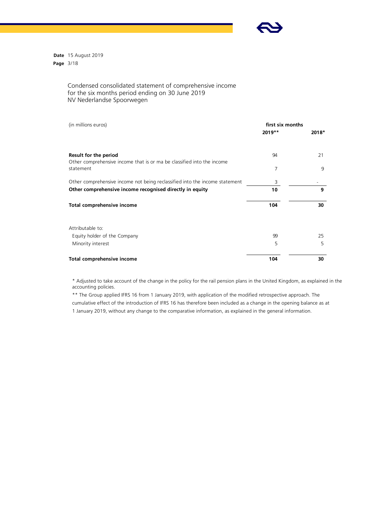

**Date** 15 August 2019 **Page** 3/18

# Condensed consolidated statement of comprehensive income for the six months period ending on 30 June 2019 NV Nederlandse Spoorwegen

| (in millions euros)                                                                 | first six months<br>$2019**$ | 2018* |
|-------------------------------------------------------------------------------------|------------------------------|-------|
| Result for the period                                                               | 94                           | 21    |
| Other comprehensive income that is or ma be classified into the income<br>statement | 7                            | 9     |
| Other comprehensive income not being reclassified into the income statement         | 3                            |       |
| Other comprehensive income recognised directly in equity                            | 10                           | 9     |
| Total comprehensive income                                                          | 104                          | 30    |
| Attributable to:                                                                    |                              |       |
| Equity holder of the Company                                                        | 99                           | 25    |
| Minority interest                                                                   | 5                            | 5     |
| Total comprehensive income                                                          | 104                          | 30    |

\* Adjusted to take account of the change in the policy for the rail pension plans in the United Kingdom, as explained in the accounting policies.

\*\* The Group applied IFRS 16 from 1 January 2019, with application of the modified retrospective approach. The cumulative effect of the introduction of IFRS 16 has therefore been included as a change in the opening balance as at 1 January 2019, without any change to the comparative information, as explained in the general information.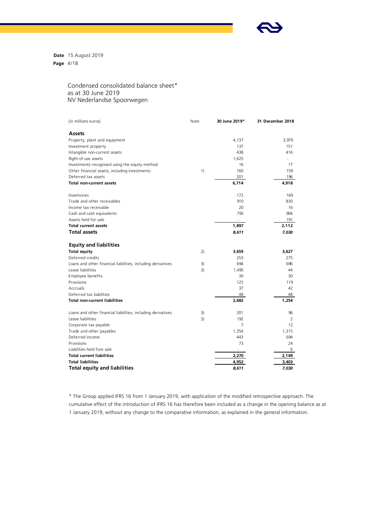

**Date** 15 August 2019 **Page** 4/18

# Condensed consolidated balance sheet\* as at 30 June 2019 NV Nederlandse Spoorwegen

| (in millions euros)                                          | Note | 30 June 2019*  | 31 December 2018 |
|--------------------------------------------------------------|------|----------------|------------------|
| Assets                                                       |      |                |                  |
| Property, plant and equipment                                |      | 4,137          | 3,979            |
| Investment property                                          |      | 137            | 151              |
| Intangible non-current assets                                |      | 438            | 416              |
| Right-of-use assets                                          |      | 1,625          |                  |
| Investments recognised using the equity method               |      | 16             | 17               |
| Other financial assets, including investments                | 1)   | 160            | 159              |
| Deferred tax assets                                          |      | 201            | 196              |
| <b>Total non-current assets</b>                              |      | 6,714          | 4,918            |
| Inventories                                                  |      | 172            | 169              |
| Trade and other receivables                                  |      | 910            | 830              |
| Income tax receivable                                        |      | 20             | 16               |
| Cash and cash equivalents                                    |      | 795            | 906              |
| Assets held for sale                                         |      |                | 191              |
| <b>Total current assets</b>                                  |      | 1,897          | 2,112            |
| <b>Total assets</b>                                          |      | 8,611          | 7,030            |
| <b>Equity and liabilities</b>                                |      |                |                  |
| <b>Total equity</b>                                          | 2)   | 3,659          | 3,627            |
| Deferred credits                                             |      | 253            | 275              |
| Loans and other financial liabilities, including derivatives | 3)   | 694            | 696              |
| Lease liabilities                                            | 3)   | 1,495          | 44               |
| Employee benefits                                            |      | 30             | 30               |
| Provisions                                                   |      | 125            | 119              |
| Accruals                                                     |      | 37             | 42               |
| Deferred tax liabilities                                     |      | 48             | 48               |
| <b>Total non-current liabilities</b>                         |      | 2,682          | 1,254            |
| Loans and other financial liabilities, including derivatives | 3)   | 201            | 96               |
| Lease liabilities                                            | 3)   | 192            | 2                |
| Corporate tax payable                                        |      | $\overline{7}$ | 12               |
| Trade and other payables                                     |      | 1,354          | 1,315            |
| Deferred income                                              |      | 443            | 694              |
| Provisions                                                   |      | 73             | 24               |
| Liabilities held fore sale                                   |      |                | 6                |
| <b>Total current liabilities</b>                             |      | 2,270          | 2,149            |
| <b>Total liabilities</b>                                     |      | 4,952          | 3,403            |
| <b>Total equity and liabilities</b>                          |      | 8,611          | 7,030            |

\* The Group applied IFRS 16 from 1 January 2019, with application of the modified retrospective approach. The cumulative effect of the introduction of IFRS 16 has therefore been included as a change in the opening balance as at 1 January 2019, without any change to the comparative information, as explained in the general information.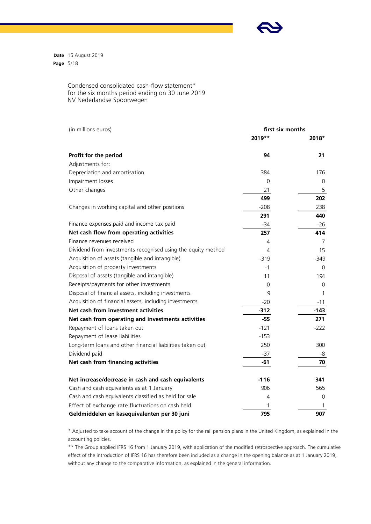

**Date** 15 August 2019 **Page** 5/18

> Condensed consolidated cash-flow statement\* for the six months period ending on 30 June 2019 NV Nederlandse Spoorwegen

| (in millions euros)                                          | first six months |        |  |
|--------------------------------------------------------------|------------------|--------|--|
|                                                              | 2019**           | 2018*  |  |
| Profit for the period                                        | 94               | 21     |  |
| Adjustments for:                                             |                  |        |  |
| Depreciation and amortisation                                | 384              | 176    |  |
| Impairment losses                                            | 0                | 0      |  |
| Other changes                                                | 21               | 5      |  |
|                                                              | 499              | 202    |  |
| Changes in working capital and other positions               | $-208$           | 238    |  |
|                                                              | 291              | 440    |  |
| Finance expenses paid and income tax paid                    | $-34$            | $-26$  |  |
| Net cash flow from operating activities                      | 257              | 414    |  |
| Finance revenues received                                    | 4                | 7      |  |
| Dividend from investments recognised using the equity method | 4                | 15     |  |
| Acquisition of assets (tangible and intangible)              | $-319$           | -349   |  |
| Acquisition of property investments                          | $-1$             | 0      |  |
| Disposal of assets (tangible and intangible)                 | 11               | 194    |  |
| Receipts/payments for other investments                      | 0                | 0      |  |
| Disposal of financial assets, including investments          | 9                | 1      |  |
| Acquisition of financial assets, including investments       | $-20$            | $-11$  |  |
| Net cash from investment activities                          | $-312$           | $-143$ |  |
| Net cash from operating and investments activities           | $-55$            | 271    |  |
| Repayment of loans taken out                                 | $-121$           | $-222$ |  |
| Repayment of lease liabilities                               | $-153$           |        |  |
| Long-term loans and other financial liabilities taken out    | 250              | 300    |  |
| Dividend paid                                                | $-37$            | -8     |  |
| Net cash from financing activities                           | -61              | 70     |  |
| Net increase/decrease in cash and cash equivalents           | $-116$           | 341    |  |
| Cash and cash equivalents as at 1 January                    | 906              | 565    |  |
| Cash and cash equivalents classified as held for sale        | 4                | 0      |  |
| Effect of exchange rate fluctuations on cash held            | 1                | 1      |  |
| Geldmiddelen en kasequivalenten per 30 juni                  | 795              | 907    |  |

\* Adjusted to take account of the change in the policy for the rail pension plans in the United Kingdom, as explained in the accounting policies.

\*\* The Group applied IFRS 16 from 1 January 2019, with application of the modified retrospective approach. The cumulative effect of the introduction of IFRS 16 has therefore been included as a change in the opening balance as at 1 January 2019, without any change to the comparative information, as explained in the general information.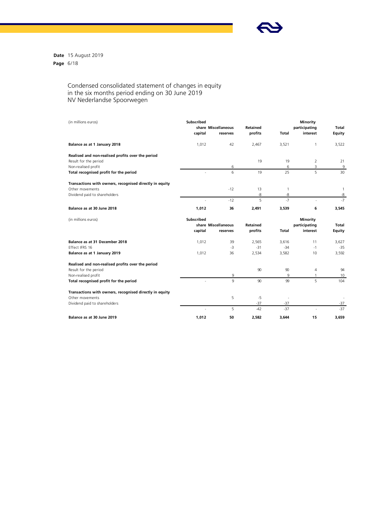

**Date** 15 August 2019 **Page** 6/18

### Condensed consolidated statement of changes in equity in the six months period ending on 30 June 2019 NV Nederlandse Spoorwegen

| (in millions euros)                                     | Subscribed<br>capital | share Miscellaneous<br>reserves | Retained<br>profits | <b>Total</b>         | Minority<br>participating<br>interest | Total<br>Equity |
|---------------------------------------------------------|-----------------------|---------------------------------|---------------------|----------------------|---------------------------------------|-----------------|
| Balance as at 1 January 2018                            | 1,012                 | 42                              | 2,467               | 3,521                | $\mathbf{1}$                          | 3,522           |
| Realised and non-realised profits over the period       |                       |                                 |                     |                      |                                       |                 |
| Result for the period                                   |                       |                                 | 19                  | 19                   | 2                                     | 21              |
| Non-realised profit                                     |                       | 6                               |                     | 6                    | 3                                     | 9               |
| Total recognised profit for the period                  | ÷.                    | 6                               | 19                  | 25                   | 5                                     | 30              |
| Transactions with owners, recognised directly in equity |                       |                                 |                     |                      |                                       |                 |
| Other movements                                         |                       | $-12$                           | 13                  | $\mathbf{1}$         |                                       | $\mathbf{1}$    |
| Dividend paid to shareholders                           |                       |                                 | -8                  | -8                   |                                       | -8              |
|                                                         | $\overline{a}$        | $-12$                           | 5                   | $-7$                 | ÷.                                    | $-7$            |
| Balance as at 30 June 2018                              | 1,012                 | 36                              | 2,491               | 3,539                | 6                                     | 3,545           |
| (in millions euros)                                     | Subscribed            |                                 |                     |                      | <b>Minority</b>                       |                 |
|                                                         |                       | share Miscellaneous             | Retained            |                      | participating                         | Total           |
|                                                         | capital               | reserves                        | profits             | Total                | interest                              | Equity          |
| Balance as at 31 December 2018                          | 1,012                 | 39                              | 2,565               | 3.616                | 11                                    | 3,627           |
| <b>Fffect IFRS 16</b>                                   |                       | $-3$                            | $-31$               | $-34$                | $-1$                                  | $-35$           |
| Balance as at 1 January 2019                            | 1,012                 | 36                              | 2,534               | 3,582                | 10                                    | 3,592           |
| Realised and non-realised profits over the period       |                       |                                 |                     |                      |                                       |                 |
| Result for the period                                   |                       |                                 | 90                  | 90                   | $\overline{4}$                        | 94              |
| Non-realised profit                                     |                       | 9                               |                     | 9                    | 1                                     | 10              |
| Total recognised profit for the period                  |                       | 9                               | 90                  | 99                   | 5                                     | 104             |
| Transactions with owners, recognised directly in equity |                       |                                 |                     |                      |                                       |                 |
| Other movements                                         |                       | 5                               | $-5$                | $\ddot{\phantom{1}}$ |                                       |                 |
| Dividend paid to shareholders                           |                       |                                 | $-37$               | $-37$                |                                       | $-37$           |
|                                                         |                       | 5                               | $-42$               | $-37$                |                                       | $-37$           |
| Balance as at 30 June 2019                              | 1,012                 | 50                              | 2,582               | 3,644                | 15                                    | 3,659           |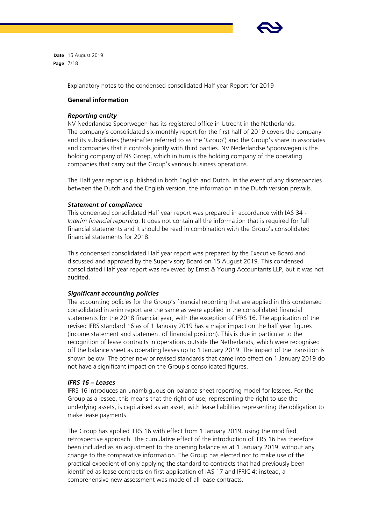

**Date** 15 August 2019 **Page** 7/18

Explanatory notes to the condensed consolidated Half year Report for 2019

# **General information**

### *Reporting entity*

NV Nederlandse Spoorwegen has its registered office in Utrecht in the Netherlands. The company's consolidated six-monthly report for the first half of 2019 covers the company and its subsidiaries (hereinafter referred to as the 'Group') and the Group's share in associates and companies that it controls jointly with third parties. NV Nederlandse Spoorwegen is the holding company of NS Groep, which in turn is the holding company of the operating companies that carry out the Group's various business operations.

The Half year report is published in both English and Dutch. In the event of any discrepancies between the Dutch and the English version, the information in the Dutch version prevails.

### *Statement of compliance*

This condensed consolidated Half year report was prepared in accordance with IAS 34 - *Interim financial reporting.* It does not contain all the information that is required for full financial statements and it should be read in combination with the Group's consolidated financial statements for 2018.

This condensed consolidated Half year report was prepared by the Executive Board and discussed and approved by the Supervisory Board on 15 August 2019. This condensed consolidated Half year report was reviewed by Ernst & Young Accountants LLP, but it was not audited.

# *Significant accounting policies*

The accounting policies for the Group's financial reporting that are applied in this condensed consolidated interim report are the same as were applied in the consolidated financial statements for the 2018 financial year, with the exception of IFRS 16. The application of the revised IFRS standard 16 as of 1 January 2019 has a major impact on the half year figures (income statement and statement of financial position). This is due in particular to the recognition of lease contracts in operations outside the Netherlands, which were recognised off the balance sheet as operating leases up to 1 January 2019. The impact of the transition is shown below. The other new or revised standards that came into effect on 1 January 2019 do not have a significant impact on the Group's consolidated figures.

# *IFRS 16 – Leases*

IFRS 16 introduces an unambiguous on-balance-sheet reporting model for lessees. For the Group as a lessee, this means that the right of use, representing the right to use the underlying assets, is capitalised as an asset, with lease liabilities representing the obligation to make lease payments.

The Group has applied IFRS 16 with effect from 1 January 2019, using the modified retrospective approach. The cumulative effect of the introduction of IFRS 16 has therefore been included as an adjustment to the opening balance as at 1 January 2019, without any change to the comparative information. The Group has elected not to make use of the practical expedient of only applying the standard to contracts that had previously been identified as lease contracts on first application of IAS 17 and IFRIC 4; instead, a comprehensive new assessment was made of all lease contracts.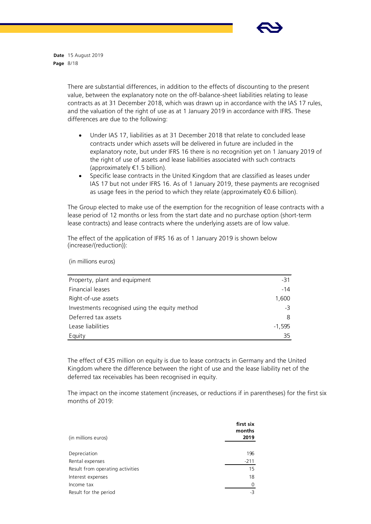

**Date** 15 August 2019 **Page** 8/18

> There are substantial differences, in addition to the effects of discounting to the present value, between the explanatory note on the off-balance-sheet liabilities relating to lease contracts as at 31 December 2018, which was drawn up in accordance with the IAS 17 rules, and the valuation of the right of use as at 1 January 2019 in accordance with IFRS. These differences are due to the following:

- Under IAS 17, liabilities as at 31 December 2018 that relate to concluded lease contracts under which assets will be delivered in future are included in the explanatory note, but under IFRS 16 there is no recognition yet on 1 January 2019 of the right of use of assets and lease liabilities associated with such contracts (approximately €1.5 billion).
- Specific lease contracts in the United Kingdom that are classified as leases under IAS 17 but not under IFRS 16. As of 1 January 2019, these payments are recognised as usage fees in the period to which they relate (approximately  $\epsilon$ 0.6 billion).

The Group elected to make use of the exemption for the recognition of lease contracts with a lease period of 12 months or less from the start date and no purchase option (short-term lease contracts) and lease contracts where the underlying assets are of low value.

The effect of the application of IFRS 16 as of 1 January 2019 is shown below (increase/(reduction)):

(in millions euros)

| -31      |
|----------|
| $-14$    |
| 1,600    |
| -3       |
| 8        |
| $-1,595$ |
| 35       |
|          |

The effect of €35 million on equity is due to lease contracts in Germany and the United Kingdom where the difference between the right of use and the lease liability net of the deferred tax receivables has been recognised in equity.

The impact on the income statement (increases, or reductions if in parentheses) for the first six months of 2019:

| (in millions euros)              | first six<br>months<br>2019 |
|----------------------------------|-----------------------------|
| Depreciation                     | 196                         |
| Rental expenses                  | $-211$                      |
| Result from operating activities | 15                          |
| Interest expenses                | 18                          |
| Income tax                       | $\Omega$                    |
| Result for the period            | -3                          |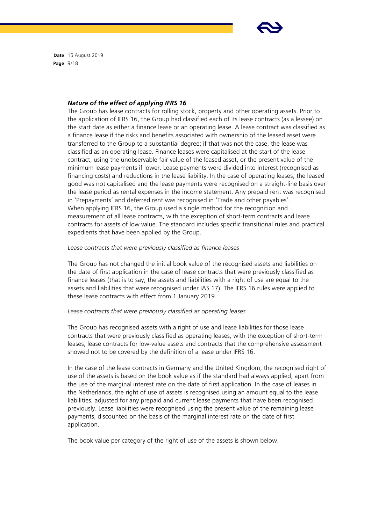

**Date** 15 August 2019 **Page** 9/18

#### *Nature of the effect of applying IFRS 16*

The Group has lease contracts for rolling stock, property and other operating assets. Prior to the application of IFRS 16, the Group had classified each of its lease contracts (as a lessee) on the start date as either a finance lease or an operating lease. A lease contract was classified as a finance lease if the risks and benefits associated with ownership of the leased asset were transferred to the Group to a substantial degree; if that was not the case, the lease was classified as an operating lease. Finance leases were capitalised at the start of the lease contract, using the unobservable fair value of the leased asset, or the present value of the minimum lease payments if lower. Lease payments were divided into interest (recognised as financing costs) and reductions in the lease liability. In the case of operating leases, the leased good was not capitalised and the lease payments were recognised on a straight-line basis over the lease period as rental expenses in the income statement. Any prepaid rent was recognised in 'Prepayments' and deferred rent was recognised in 'Trade and other payables'. When applying IFRS 16, the Group used a single method for the recognition and measurement of all lease contracts, with the exception of short-term contracts and lease contracts for assets of low value. The standard includes specific transitional rules and practical expedients that have been applied by the Group.

#### *Lease contracts that were previously classified as finance leases*

The Group has not changed the initial book value of the recognised assets and liabilities on the date of first application in the case of lease contracts that were previously classified as finance leases (that is to say, the assets and liabilities with a right of use are equal to the assets and liabilities that were recognised under IAS 17). The IFRS 16 rules were applied to these lease contracts with effect from 1 January 2019.

### *Lease contracts that were previously classified as operating leases*

The Group has recognised assets with a right of use and lease liabilities for those lease contracts that were previously classified as operating leases, with the exception of short-term leases, lease contracts for low-value assets and contracts that the comprehensive assessment showed not to be covered by the definition of a lease under IFRS 16.

In the case of the lease contracts in Germany and the United Kingdom, the recognised right of use of the assets is based on the book value as if the standard had always applied, apart from the use of the marginal interest rate on the date of first application. In the case of leases in the Netherlands, the right of use of assets is recognised using an amount equal to the lease liabilities, adjusted for any prepaid and current lease payments that have been recognised previously. Lease liabilities were recognised using the present value of the remaining lease payments, discounted on the basis of the marginal interest rate on the date of first application.

The book value per category of the right of use of the assets is shown below.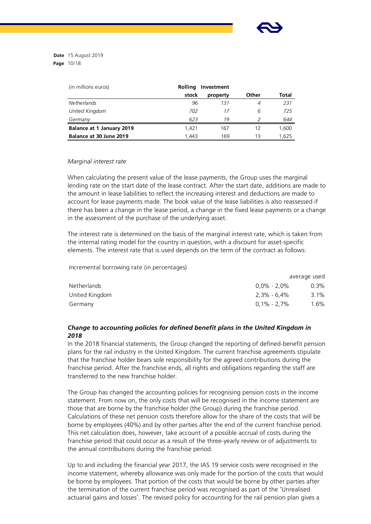

**Date** 15 August 2019 **Page** 10/18

| (in millions euros)       | <b>Rolling</b> | Investment |       |       |
|---------------------------|----------------|------------|-------|-------|
|                           | stock          | property   | Other | Total |
| <b>Netherlands</b>        | 96             | 131        | 4     | 231   |
| United Kingdom            | 702            | 17         | 6     | 725   |
| Germany                   | 623            | 19         |       | 644   |
| Balance at 1 January 2019 | 1.421          | 167        | 12    | 1.600 |
| Balance at 30 June 2019   | 1.443          | 169        | 13    | 1.625 |

# *Marginal interest rate*

When calculating the present value of the lease payments, the Group uses the marginal lending rate on the start date of the lease contract. After the start date, additions are made to the amount in lease liabilities to reflect the increasing interest and deductions are made to account for lease payments made. The book value of the lease liabilities is also reassessed if there has been a change in the lease period, a change in the fixed lease payments or a change in the assessment of the purchase of the underlying asset.

The interest rate is determined on the basis of the marginal interest rate, which is taken from the internal rating model for the country in question, with a discount for asset-specific elements. The interest rate that is used depends on the term of the contract as follows:

Incremental borrowing rate (in percentages)

|                |                | average used |
|----------------|----------------|--------------|
| Netherlands    | $0.0\%$ - 2,0% | $0.3\%$      |
| United Kingdom | 2,3% - 6,4%    | 3.1%         |
| Germany        | $0,1\%$ - 2,7% | $1.6\%$      |

# *Change to accounting policies for defined benefit plans in the United Kingdom in 2018*

In the 2018 financial statements, the Group changed the reporting of defined-benefit pension plans for the rail industry in the United Kingdom. The current franchise agreements stipulate that the franchise holder bears sole responsibility for the agreed contributions during the franchise period. After the franchise ends, all rights and obligations regarding the staff are transferred to the new franchise holder.

The Group has changed the accounting policies for recognising pension costs in the income statement. From now on, the only costs that will be recognised in the income statement are those that are borne by the franchise holder (the Group) during the franchise period. Calculations of these net pension costs therefore allow for the share of the costs that will be borne by employees (40%) and by other parties after the end of the current franchise period. This net calculation does, however, take account of a possible accrual of costs during the franchise period that could occur as a result of the three-yearly review or of adjustments to the annual contributions during the franchise period.

Up to and including the financial year 2017, the IAS 19 service costs were recognised in the income statement, whereby allowance was only made for the portion of the costs that would be borne by employees. That portion of the costs that would be borne by other parties after the termination of the current franchise period was recognised as part of the 'Unrealised actuarial gains and losses'. The revised policy for accounting for the rail pension plan gives a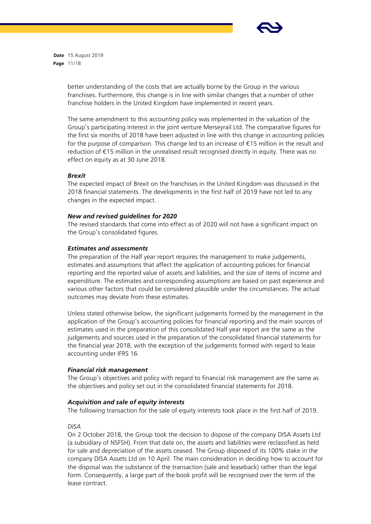

**Date** 15 August 2019 **Page** 11/18

> better understanding of the costs that are actually borne by the Group in the various franchises. Furthermore, this change is in line with similar changes that a number of other franchise holders in the United Kingdom have implemented in recent years.

The same amendment to this accounting policy was implemented in the valuation of the Group's participating interest in the joint venture Merseyrail Ltd. The comparative figures for the first six months of 2018 have been adjusted in line with this change in accounting policies for the purpose of comparison. This change led to an increase of €15 million in the result and reduction of €15 million in the unrealised result recognised directly in equity. There was no effect on equity as at 30 June 2018.

# *Brexit*

The expected impact of Brexit on the franchises in the United Kingdom was discussed in the 2018 financial statements. The developments in the first half of 2019 have not led to any changes in the expected impact.

# *New and revised guidelines for 2020*

The revised standards that come into effect as of 2020 will not have a significant impact on the Group's consolidated figures.

# *Estimates and assessments*

The preparation of the Half year report requires the management to make judgements, estimates and assumptions that affect the application of accounting policies for financial reporting and the reported value of assets and liabilities, and the size of items of income and expenditure. The estimates and corresponding assumptions are based on past experience and various other factors that could be considered plausible under the circumstances. The actual outcomes may deviate from these estimates.

Unless stated otherwise below, the significant judgements formed by the management in the application of the Group's accounting policies for financial reporting and the main sources of estimates used in the preparation of this consolidated Half year report are the same as the judgements and sources used in the preparation of the consolidated financial statements for the financial year 2018, with the exception of the judgements formed with regard to lease accounting under IFRS 16.

# *Financial risk management*

The Group's objectives and policy with regard to financial risk management are the same as the objectives and policy set out in the consolidated financial statements for 2018.

# *Acquisition and sale of equity interests*

The following transaction for the sale of equity interests took place in the first half of 2019.

# *DISA*

On 2 October 2018, the Group took the decision to dispose of the company DISA Assets Ltd (a subsidiary of NSFSH). From that date on, the assets and liabilities were reclassified as held for sale and depreciation of the assets ceased. The Group disposed of its 100% stake in the company DISA Assets Ltd on 10 April. The main consideration in deciding how to account for the disposal was the substance of the transaction (sale and leaseback) rather than the legal form. Consequently, a large part of the book profit will be recognised over the term of the lease contract.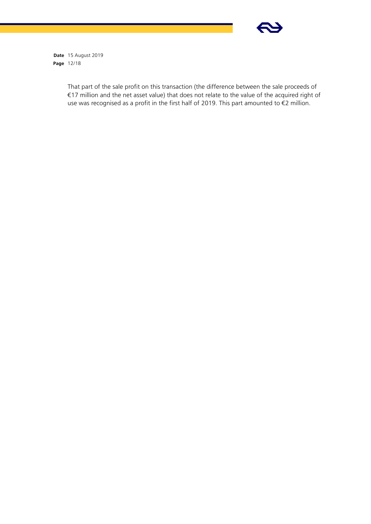

**Date** 15 August 2019 **Page** 12/18

> That part of the sale profit on this transaction (the difference between the sale proceeds of €17 million and the net asset value) that does not relate to the value of the acquired right of use was recognised as a profit in the first half of 2019. This part amounted to €2 million.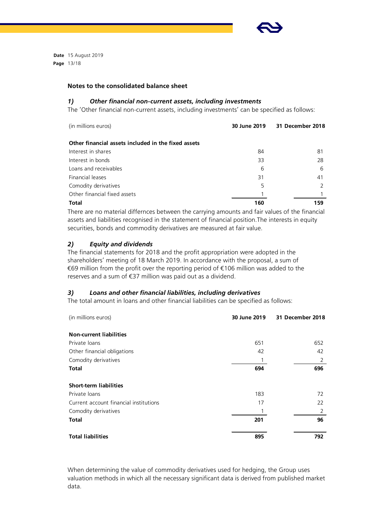

**Date** 15 August 2019 **Page** 13/18

# **Notes to the consolidated balance sheet**

#### *1) Other financial non-current assets, including investments*

The 'Other financial non-current assets, including investments' can be specified as follows:

| (in millions euros)                                 | 30 June 2019 | 31 December 2018 |
|-----------------------------------------------------|--------------|------------------|
| Other financial assets included in the fixed assets |              |                  |
| Interest in shares                                  | 84           | 81               |
| Interest in bonds                                   | 33           | 28               |
| Loans and receivables                               | 6            | 6                |
| Financial leases                                    | 31           | 41               |
| Comodity derivatives                                | 5            |                  |
| Other financial fixed assets                        |              |                  |
| <b>Total</b>                                        | 160          | 159              |

There are no material differnces between the carrying amounts and fair values of the financial assets and liabilities recognised in the statement of financial position.The interests in equity securities, bonds and commodity derivatives are measured at fair value.

# *2) Equity and dividends*

The financial statements for 2018 and the profit appropriation were adopted in the shareholders' meeting of 18 March 2019. In accordance with the proposal, a sum of €69 million from the profit over the reporting period of €106 million was added to the reserves and a sum of €37 million was paid out as a dividend.

# *3) Loans and other financial liabilities, including derivatives*

The total amount in loans and other financial liabilities can be specified as follows:

| (in millions euros)                    | 30 June 2019 | 31 December 2018 |
|----------------------------------------|--------------|------------------|
| <b>Non-current liabilities</b>         |              |                  |
| Private loans                          | 651          | 652              |
| Other financial obligations            | 42           | 42               |
| Comodity derivatives                   |              | 2                |
| <b>Total</b>                           | 694          | 696              |
| <b>Short-term liabilities</b>          |              |                  |
| Private loans                          | 183          | 72               |
| Current account financial institutions | 17           | 22               |
| Comodity derivatives                   |              | 2                |
| <b>Total</b>                           | 201          | 96               |
| <b>Total liabilities</b>               | 895          | 792              |

When determining the value of commodity derivatives used for hedging, the Group uses valuation methods in which all the necessary significant data is derived from published market data.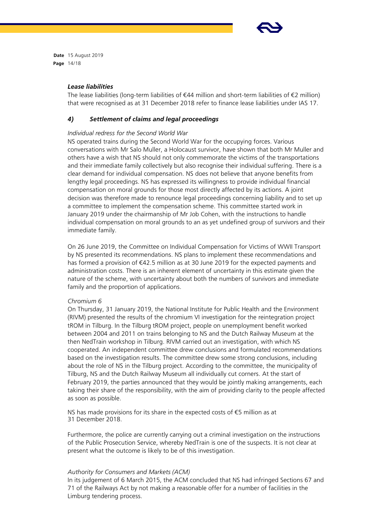

**Date** 15 August 2019 **Page** 14/18

### *Lease liabilities*

The lease liabilities (long-term liabilities of €44 million and short-term liabilities of €2 million) that were recognised as at 31 December 2018 refer to finance lease liabilities under IAS 17.

# *4) Settlement of claims and legal proceedings*

# *Individual redress for the Second World War*

NS operated trains during the Second World War for the occupying forces. Various conversations with Mr Salo Muller, a Holocaust survivor, have shown that both Mr Muller and others have a wish that NS should not only commemorate the victims of the transportations and their immediate family collectively but also recognise their individual suffering. There is a clear demand for individual compensation. NS does not believe that anyone benefits from lengthy legal proceedings. NS has expressed its willingness to provide individual financial compensation on moral grounds for those most directly affected by its actions. A joint decision was therefore made to renounce legal proceedings concerning liability and to set up a committee to implement the compensation scheme. This committee started work in January 2019 under the chairmanship of Mr Job Cohen, with the instructions to handle individual compensation on moral grounds to an as yet undefined group of survivors and their immediate family.

On 26 June 2019, the Committee on Individual Compensation for Victims of WWII Transport by NS presented its recommendations. NS plans to implement these recommendations and has formed a provision of €42.5 million as at 30 June 2019 for the expected payments and administration costs. There is an inherent element of uncertainty in this estimate given the nature of the scheme, with uncertainty about both the numbers of survivors and immediate family and the proportion of applications.

#### *Chromium 6*

On Thursday, 31 January 2019, the National Institute for Public Health and the Environment (RIVM) presented the results of the chromium VI investigation for the reintegration project tROM in Tilburg. In the Tilburg tROM project, people on unemployment benefit worked between 2004 and 2011 on trains belonging to NS and the Dutch Railway Museum at the then NedTrain workshop in Tilburg. RIVM carried out an investigation, with which NS cooperated. An independent committee drew conclusions and formulated recommendations based on the investigation results. The committee drew some strong conclusions, including about the role of NS in the Tilburg project. According to the committee, the municipality of Tilburg, NS and the Dutch Railway Museum all individually cut corners. At the start of February 2019, the parties announced that they would be jointly making arrangements, each taking their share of the responsibility, with the aim of providing clarity to the people affected as soon as possible.

NS has made provisions for its share in the expected costs of €5 million as at 31 December 2018.

Furthermore, the police are currently carrying out a criminal investigation on the instructions of the Public Prosecution Service, whereby NedTrain is one of the suspects. It is not clear at present what the outcome is likely to be of this investigation.

#### *Authority for Consumers and Markets (ACM)*

In its judgement of 6 March 2015, the ACM concluded that NS had infringed Sections 67 and 71 of the Railways Act by not making a reasonable offer for a number of facilities in the Limburg tendering process.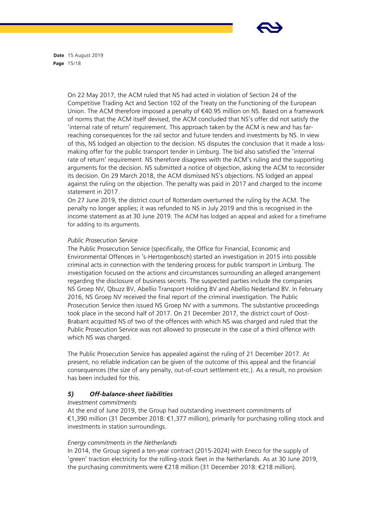

**Date** 15 August 2019 **Page** 15/18

> On 22 May 2017, the ACM ruled that NS had acted in violation of Section 24 of the Competitive Trading Act and Section 102 of the Treaty on the Functioning of the European Union. The ACM therefore imposed a penalty of €40.95 million on NS. Based on a framework of norms that the ACM itself devised, the ACM concluded that NS's offer did not satisfy the 'internal rate of return' requirement. This approach taken by the ACM is new and has farreaching consequences for the rail sector and future tenders and investments by NS. In view of this, NS lodged an objection to the decision. NS disputes the conclusion that it made a lossmaking offer for the public transport tender in Limburg. The bid also satisfied the 'internal rate of return' requirement. NS therefore disagrees with the ACM's ruling and the supporting arguments for the decision. NS submitted a notice of objection, asking the ACM to reconsider its decision. On 29 March 2018, the ACM dismissed NS's objections. NS lodged an appeal against the ruling on the objection. The penalty was paid in 2017 and charged to the income statement in 2017.

> On 27 June 2019, the district court of Rotterdam overturned the ruling by the ACM. The penalty no longer applies; it was refunded to NS in July 2019 and this is recognised in the income statement as at 30 June 2019. The ACM has lodged an appeal and asked for a timeframe for adding to its arguments.

# *Public Prosecution Service*

The Public Prosecution Service (specifically, the Office for Financial, Economic and Environmental Offences in 's-Hertogenbosch) started an investigation in 2015 into possible criminal acts in connection with the tendering process for public transport in Limburg. The investigation focused on the actions and circumstances surrounding an alleged arrangement regarding the disclosure of business secrets. The suspected parties include the companies NS Groep NV, Qbuzz BV, Abellio Transport Holding BV and Abellio Nederland BV. In February 2016, NS Groep NV received the final report of the criminal investigation. The Public Prosecution Service then issued NS Groep NV with a summons. The substantive proceedings took place in the second half of 2017. On 21 December 2017, the district court of Oost-Brabant acquitted NS of two of the offences with which NS was charged and ruled that the Public Prosecution Service was not allowed to prosecute in the case of a third offence with which NS was charged.

The Public Prosecution Service has appealed against the ruling of 21 December 2017. At present, no reliable indication can be given of the outcome of this appeal and the financial consequences (the size of any penalty, out-of-court settlement etc.). As a result, no provision has been included for this.

# *5) Off-balance-sheet liabilities*

# *Investment commitments*

At the end of June 2019, the Group had outstanding investment commitments of €1,390 million (31 December 2018: €1,377 million), primarily for purchasing rolling stock and investments in station surroundings.

# *Energy commitments in the Netherlands*

In 2014, the Group signed a ten-year contract (2015-2024) with Eneco for the supply of 'green' traction electricity for the rolling-stock fleet in the Netherlands. As at 30 June 2019, the purchasing commitments were €218 million (31 December 2018: €218 million).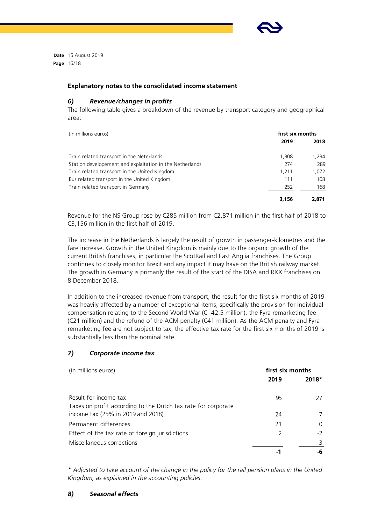

**Date** 15 August 2019 **Page** 16/18

# **Explanatory notes to the consolidated income statement**

### *6) Revenue/changes in profits*

The following table gives a breakdown of the revenue by transport category and geographical area:

| (in millions euros)                                      | first six months |       |  |
|----------------------------------------------------------|------------------|-------|--|
|                                                          | 2019             | 2018  |  |
| Train related transport in the Neterlands                | 1,308            | 1.234 |  |
| Station developement and explaitation in the Netherlands | 274              | 289   |  |
| Train related transport in the United Kingdom            | 1.211            | 1,072 |  |
| Bus related transport in the United Kingdom              | 111              | 108   |  |
| Train related transport in Germany                       | 252              | 168   |  |
|                                                          | 3,156            | 2,871 |  |

Revenue for the NS Group rose by €285 million from €2,871 million in the first half of 2018 to €3,156 million in the first half of 2019.

The increase in the Netherlands is largely the result of growth in passenger-kilometres and the fare increase. Growth in the United Kingdom is mainly due to the organic growth of the current British franchises, in particular the ScotRail and East Anglia franchises. The Group continues to closely monitor Brexit and any impact it may have on the British railway market. The growth in Germany is primarily the result of the start of the DISA and RXX franchises on 8 December 2018.

In addition to the increased revenue from transport, the result for the first six months of 2019 was heavily affected by a number of exceptional items, specifically the provision for individual compensation relating to the Second World War ( $\epsilon$  -42.5 million), the Fyra remarketing fee (€21 million) and the refund of the ACM penalty (€41 million). As the ACM penalty and Fyra remarketing fee are not subject to tax, the effective tax rate for the first six months of 2019 is substantially less than the nominal rate.

# *7) Corporate income tax*

| (in millions euros)                                                                    | first six months |         |
|----------------------------------------------------------------------------------------|------------------|---------|
|                                                                                        | 2019             | $2018*$ |
| Result for income tax<br>Taxes on profit according to the Dutch tax rate for corporate | 95               | 27      |
| income tax (25% in 2019 and 2018)                                                      | -24              | -7      |
| Permanent differences                                                                  | 21               | 0       |
| Effect of the tax rate of foreign jurisdictions                                        | 2                | $-2$    |
| Miscellaneous corrections                                                              |                  | 3       |
|                                                                                        |                  | -6      |

*\* Adjusted to take account of the change in the policy for the rail pension plans in the United Kingdom, as explained in the accounting policies.*

# *8) Seasonal effects*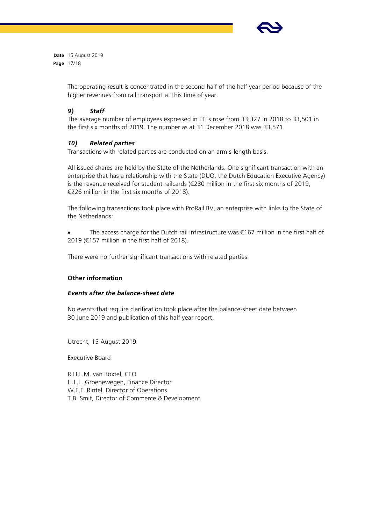

**Date** 15 August 2019 **Page** 17/18

> The operating result is concentrated in the second half of the half year period because of the higher revenues from rail transport at this time of year.

# *9) Staff*

The average number of employees expressed in FTEs rose from 33,327 in 2018 to 33,501 in the first six months of 2019. The number as at 31 December 2018 was 33,571.

# *10) Related parties*

Transactions with related parties are conducted on an arm's-length basis.

All issued shares are held by the State of the Netherlands. One significant transaction with an enterprise that has a relationship with the State (DUO, the Dutch Education Executive Agency) is the revenue received for student railcards (€230 million in the first six months of 2019, €226 million in the first six months of 2018).

The following transactions took place with ProRail BV, an enterprise with links to the State of the Netherlands:

The access charge for the Dutch rail infrastructure was  $\epsilon$ 167 million in the first half of 2019 (€157 million in the first half of 2018).

There were no further significant transactions with related parties.

# **Other information**

# *Events after the balance-sheet date*

No events that require clarification took place after the balance-sheet date between 30 June 2019 and publication of this half year report.

Utrecht, 15 August 2019

Executive Board

R.H.L.M. van Boxtel, CEO H.L.L. Groenewegen, Finance Director W.E.F. Rintel, Director of Operations T.B. Smit, Director of Commerce & Development